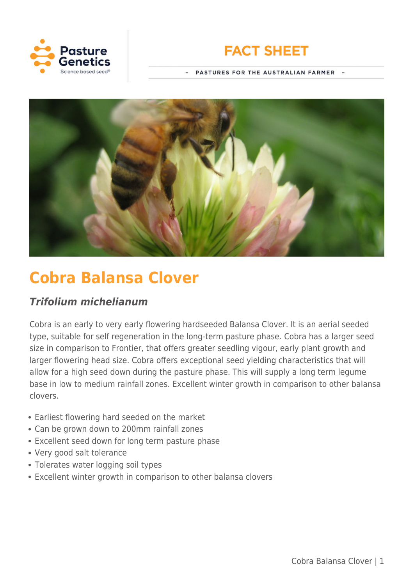



PASTURES FOR THE AUSTRALIAN FARMER



# **Cobra Balansa Clover**

# *Trifolium michelianum*

Cobra is an early to very early flowering hardseeded Balansa Clover. It is an aerial seeded type, suitable for self regeneration in the long-term pasture phase. Cobra has a larger seed size in comparison to Frontier, that offers greater seedling vigour, early plant growth and larger flowering head size. Cobra offers exceptional seed yielding characteristics that will allow for a high seed down during the pasture phase. This will supply a long term legume base in low to medium rainfall zones. Excellent winter growth in comparison to other balansa clovers.

- Earliest flowering hard seeded on the market
- Can be grown down to 200mm rainfall zones
- Excellent seed down for long term pasture phase
- Very good salt tolerance
- Tolerates water logging soil types
- Excellent winter growth in comparison to other balansa clovers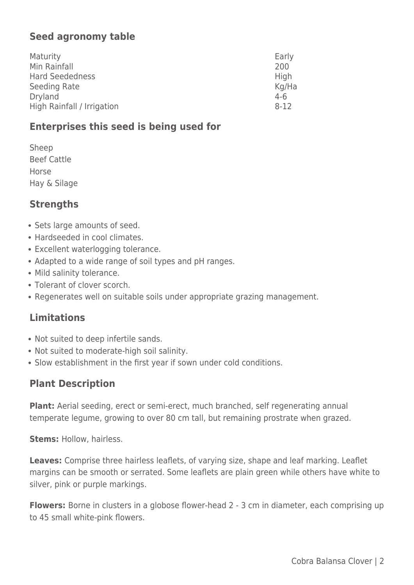# **Seed agronomy table**

| Maturity                   | Early    |
|----------------------------|----------|
| Min Rainfall               | 200      |
| Hard Seededness            | High     |
| Seeding Rate               | Kg/Ha    |
| <b>Dryland</b>             | $4-6$    |
| High Rainfall / Irrigation | $8 - 12$ |

## **Enterprises this seed is being used for**

| Sheep              |
|--------------------|
| <b>Beef Cattle</b> |
| Horse              |
| Hay & Silage       |

### **Strengths**

- Sets large amounts of seed.
- Hardseeded in cool climates.
- Excellent waterlogging tolerance.
- Adapted to a wide range of soil types and pH ranges.
- Mild salinity tolerance.
- Tolerant of clover scorch.
- Regenerates well on suitable soils under appropriate grazing management.

## **Limitations**

- Not suited to deep infertile sands.
- Not suited to moderate-high soil salinity.
- Slow establishment in the first year if sown under cold conditions.

## **Plant Description**

**Plant:** Aerial seeding, erect or semi-erect, much branched, self regenerating annual temperate legume, growing to over 80 cm tall, but remaining prostrate when grazed.

**Stems:** Hollow, hairless.

Leaves: Comprise three hairless leaflets, of varying size, shape and leaf marking. Leaflet margins can be smooth or serrated. Some leaflets are plain green while others have white to silver, pink or purple markings.

**Flowers:** Borne in clusters in a globose flower-head 2 - 3 cm in diameter, each comprising up to 45 small white-pink flowers.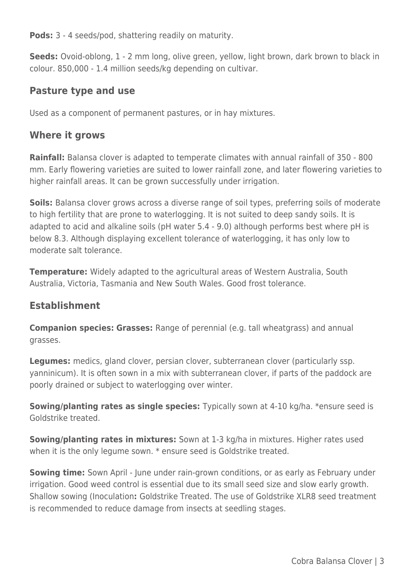**Pods:** 3 - 4 seeds/pod, shattering readily on maturity.

**Seeds:** Ovoid-oblong, 1 - 2 mm long, olive green, yellow, light brown, dark brown to black in colour. 850,000 - 1.4 million seeds/kg depending on cultivar.

#### **Pasture type and use**

Used as a component of permanent pastures, or in hay mixtures.

#### **Where it grows**

**Rainfall:** Balansa clover is adapted to temperate climates with annual rainfall of 350 - 800 mm. Early flowering varieties are suited to lower rainfall zone, and later flowering varieties to higher rainfall areas. It can be grown successfully under irrigation.

**Soils:** Balansa clover grows across a diverse range of soil types, preferring soils of moderate to high fertility that are prone to waterlogging. It is not suited to deep sandy soils. It is adapted to acid and alkaline soils (pH water 5.4 - 9.0) although performs best where pH is below 8.3. Although displaying excellent tolerance of waterlogging, it has only low to moderate salt tolerance.

**Temperature:** Widely adapted to the agricultural areas of Western Australia, South Australia, Victoria, Tasmania and New South Wales. Good frost tolerance.

#### **Establishment**

**Companion species: Grasses:** Range of perennial (e.g. tall wheatgrass) and annual grasses.

**Legumes:** medics, gland clover, persian clover, subterranean clover (particularly ssp. yanninicum). It is often sown in a mix with subterranean clover, if parts of the paddock are poorly drained or subject to waterlogging over winter.

**Sowing/planting rates as single species:** Typically sown at 4-10 kg/ha. \*ensure seed is Goldstrike treated.

**Sowing/planting rates in mixtures:** Sown at 1-3 kg/ha in mixtures. Higher rates used when it is the only legume sown. \* ensure seed is Goldstrike treated.

**Sowing time:** Sown April - June under rain-grown conditions, or as early as February under irrigation. Good weed control is essential due to its small seed size and slow early growth. Shallow sowing (Inoculation**:** Goldstrike Treated. The use of Goldstrike XLR8 seed treatment is recommended to reduce damage from insects at seedling stages.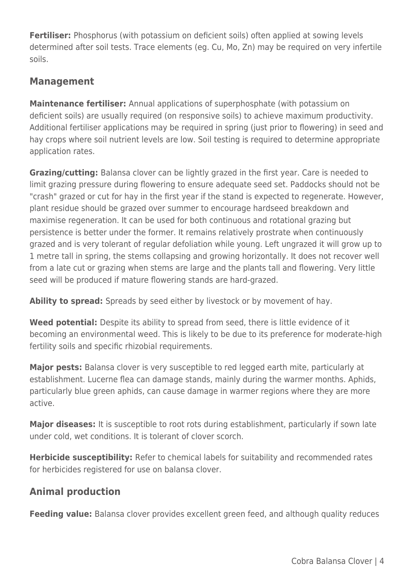**Fertiliser:** Phosphorus (with potassium on deficient soils) often applied at sowing levels determined after soil tests. Trace elements (eg. Cu, Mo, Zn) may be required on very infertile soils.

# **Management**

**Maintenance fertiliser:** Annual applications of superphosphate (with potassium on deficient soils) are usually required (on responsive soils) to achieve maximum productivity. Additional fertiliser applications may be required in spring (just prior to flowering) in seed and hay crops where soil nutrient levels are low. Soil testing is required to determine appropriate application rates.

**Grazing/cutting:** Balansa clover can be lightly grazed in the first year. Care is needed to limit grazing pressure during flowering to ensure adequate seed set. Paddocks should not be "crash" grazed or cut for hay in the first year if the stand is expected to regenerate. However, plant residue should be grazed over summer to encourage hardseed breakdown and maximise regeneration. It can be used for both continuous and rotational grazing but persistence is better under the former. It remains relatively prostrate when continuously grazed and is very tolerant of regular defoliation while young. Left ungrazed it will grow up to 1 metre tall in spring, the stems collapsing and growing horizontally. It does not recover well from a late cut or grazing when stems are large and the plants tall and flowering. Very little seed will be produced if mature flowering stands are hard-grazed.

**Ability to spread:** Spreads by seed either by livestock or by movement of hay.

Weed potential: Despite its ability to spread from seed, there is little evidence of it becoming an environmental weed. This is likely to be due to its preference for moderate-high fertility soils and specific rhizobial requirements.

**Major pests:** Balansa clover is very susceptible to red legged earth mite, particularly at establishment. Lucerne flea can damage stands, mainly during the warmer months. Aphids, particularly blue green aphids, can cause damage in warmer regions where they are more active.

**Major diseases:** It is susceptible to root rots during establishment, particularly if sown late under cold, wet conditions. It is tolerant of clover scorch.

**Herbicide susceptibility:** Refer to chemical labels for suitability and recommended rates for herbicides registered for use on balansa clover.

## **Animal production**

**Feeding value:** Balansa clover provides excellent green feed, and although quality reduces